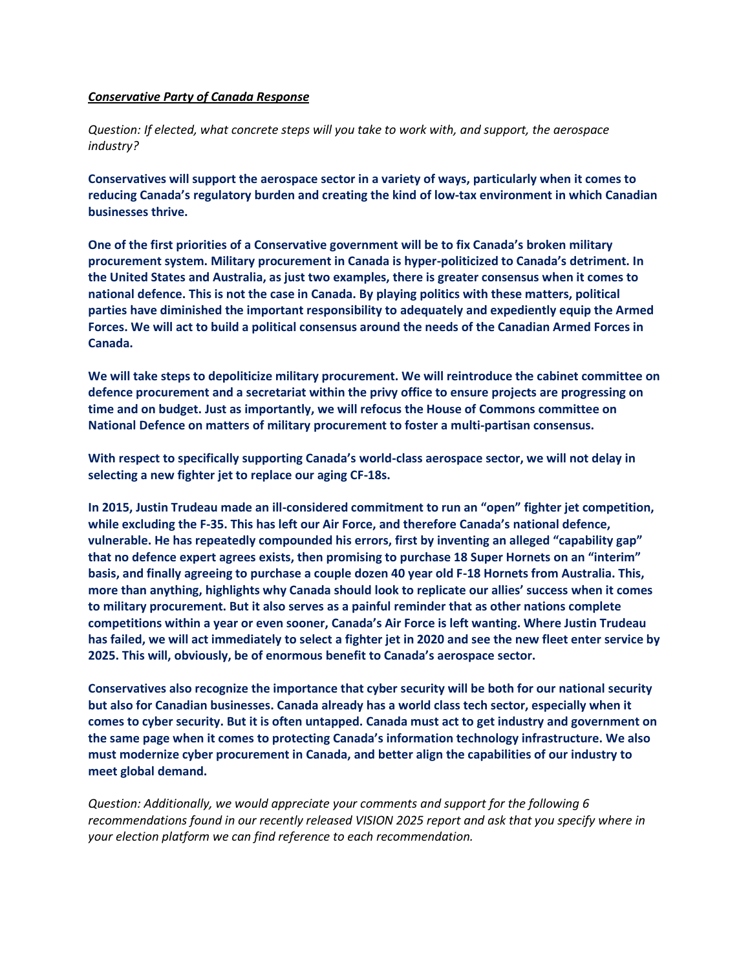## *Conservative Party of Canada Response*

*Question: If elected, what concrete steps will you take to work with, and support, the aerospace industry?* 

**Conservatives will support the aerospace sector in a variety of ways, particularly when it comes to reducing Canada's regulatory burden and creating the kind of low-tax environment in which Canadian businesses thrive.** 

**One of the first priorities of a Conservative government will be to fix Canada's broken military procurement system. Military procurement in Canada is hyper-politicized to Canada's detriment. In the United States and Australia, as just two examples, there is greater consensus when it comes to national defence. This is not the case in Canada. By playing politics with these matters, political parties have diminished the important responsibility to adequately and expediently equip the Armed Forces. We will act to build a political consensus around the needs of the Canadian Armed Forces in Canada.** 

**We will take steps to depoliticize military procurement. We will reintroduce the cabinet committee on defence procurement and a secretariat within the privy office to ensure projects are progressing on time and on budget. Just as importantly, we will refocus the House of Commons committee on National Defence on matters of military procurement to foster a multi-partisan consensus.** 

**With respect to specifically supporting Canada's world-class aerospace sector, we will not delay in selecting a new fighter jet to replace our aging CF-18s.**

**In 2015, Justin Trudeau made an ill-considered commitment to run an "open" fighter jet competition, while excluding the F-35. This has left our Air Force, and therefore Canada's national defence, vulnerable. He has repeatedly compounded his errors, first by inventing an alleged "capability gap" that no defence expert agrees exists, then promising to purchase 18 Super Hornets on an "interim" basis, and finally agreeing to purchase a couple dozen 40 year old F-18 Hornets from Australia. This, more than anything, highlights why Canada should look to replicate our allies' success when it comes to military procurement. But it also serves as a painful reminder that as other nations complete competitions within a year or even sooner, Canada's Air Force is left wanting. Where Justin Trudeau has failed, we will act immediately to select a fighter jet in 2020 and see the new fleet enter service by 2025. This will, obviously, be of enormous benefit to Canada's aerospace sector.**

**Conservatives also recognize the importance that cyber security will be both for our national security but also for Canadian businesses. Canada already has a world class tech sector, especially when it comes to cyber security. But it is often untapped. Canada must act to get industry and government on the same page when it comes to protecting Canada's information technology infrastructure. We also must modernize cyber procurement in Canada, and better align the capabilities of our industry to meet global demand.**

*Question: Additionally, we would appreciate your comments and support for the following 6 recommendations found in our recently released VISION 2025 report and ask that you specify where in your election platform we can find reference to each recommendation.*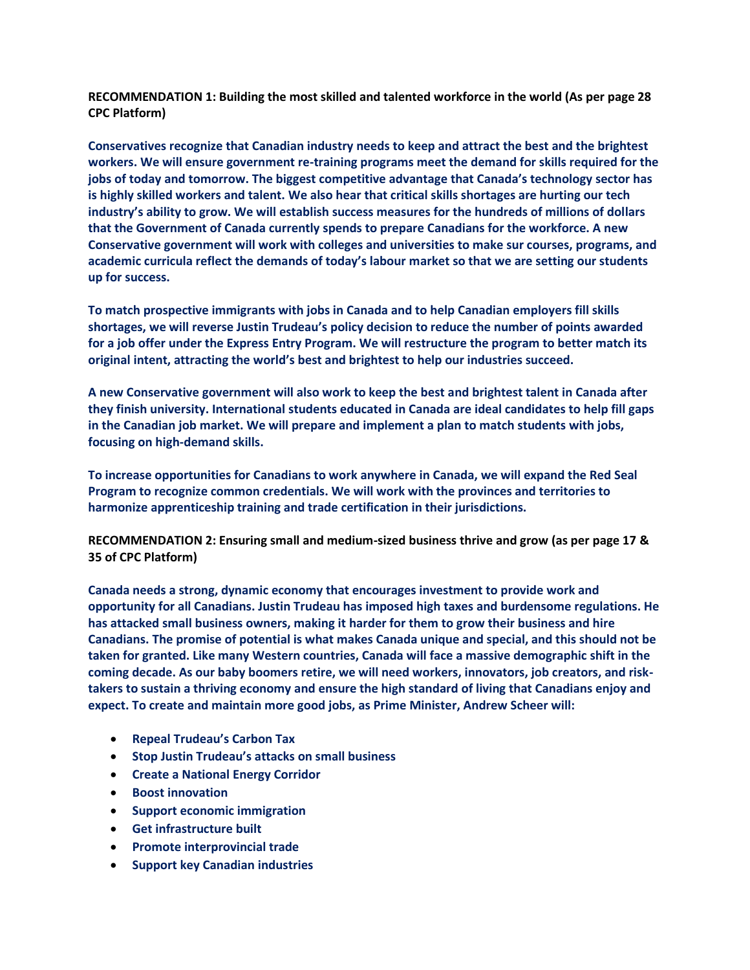**RECOMMENDATION 1: Building the most skilled and talented workforce in the world (As per page 28 CPC Platform)**

**Conservatives recognize that Canadian industry needs to keep and attract the best and the brightest workers. We will ensure government re-training programs meet the demand for skills required for the jobs of today and tomorrow. The biggest competitive advantage that Canada's technology sector has is highly skilled workers and talent. We also hear that critical skills shortages are hurting our tech industry's ability to grow. We will establish success measures for the hundreds of millions of dollars that the Government of Canada currently spends to prepare Canadians for the workforce. A new Conservative government will work with colleges and universities to make sur courses, programs, and academic curricula reflect the demands of today's labour market so that we are setting our students up for success.**

**To match prospective immigrants with jobs in Canada and to help Canadian employers fill skills shortages, we will reverse Justin Trudeau's policy decision to reduce the number of points awarded for a job offer under the Express Entry Program. We will restructure the program to better match its original intent, attracting the world's best and brightest to help our industries succeed.** 

**A new Conservative government will also work to keep the best and brightest talent in Canada after they finish university. International students educated in Canada are ideal candidates to help fill gaps in the Canadian job market. We will prepare and implement a plan to match students with jobs, focusing on high-demand skills.**

**To increase opportunities for Canadians to work anywhere in Canada, we will expand the Red Seal Program to recognize common credentials. We will work with the provinces and territories to harmonize apprenticeship training and trade certification in their jurisdictions.**

**RECOMMENDATION 2: Ensuring small and medium-sized business thrive and grow (as per page 17 & 35 of CPC Platform)**

**Canada needs a strong, dynamic economy that encourages investment to provide work and opportunity for all Canadians. Justin Trudeau has imposed high taxes and burdensome regulations. He has attacked small business owners, making it harder for them to grow their business and hire Canadians. The promise of potential is what makes Canada unique and special, and this should not be taken for granted. Like many Western countries, Canada will face a massive demographic shift in the coming decade. As our baby boomers retire, we will need workers, innovators, job creators, and risktakers to sustain a thriving economy and ensure the high standard of living that Canadians enjoy and expect. To create and maintain more good jobs, as Prime Minister, Andrew Scheer will:** 

- **Repeal Trudeau's Carbon Tax**
- **Stop Justin Trudeau's attacks on small business**
- **Create a National Energy Corridor**
- **Boost innovation**
- **Support economic immigration**
- **Get infrastructure built**
- **Promote interprovincial trade**
- **Support key Canadian industries**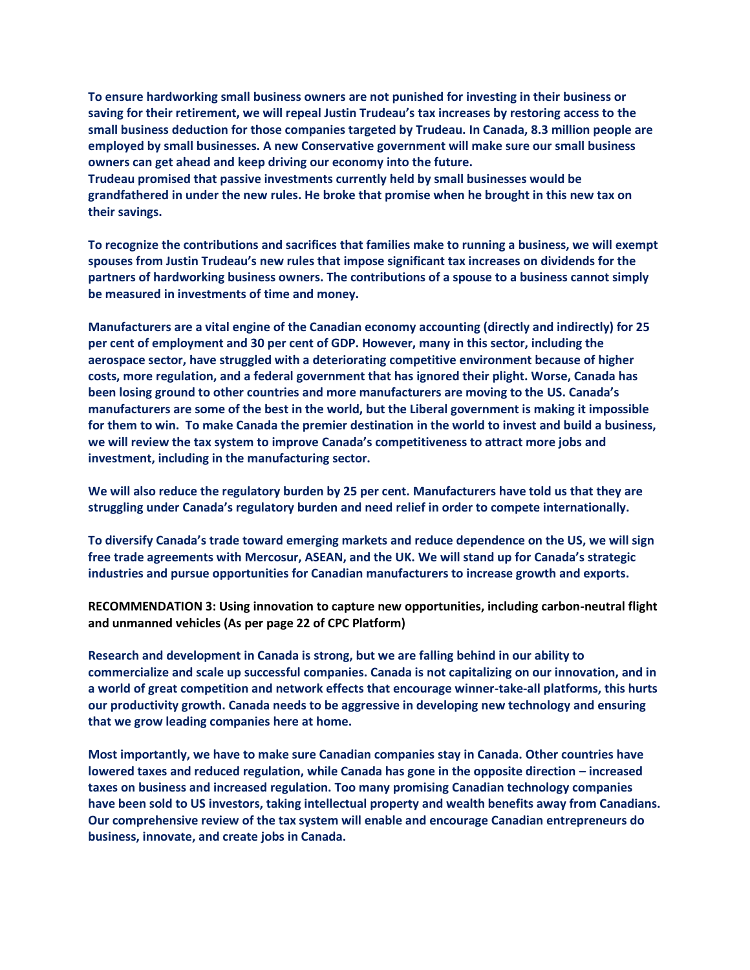**To ensure hardworking small business owners are not punished for investing in their business or saving for their retirement, we will repeal Justin Trudeau's tax increases by restoring access to the small business deduction for those companies targeted by Trudeau. In Canada, 8.3 million people are employed by small businesses. A new Conservative government will make sure our small business owners can get ahead and keep driving our economy into the future.** 

**Trudeau promised that passive investments currently held by small businesses would be grandfathered in under the new rules. He broke that promise when he brought in this new tax on their savings.** 

**To recognize the contributions and sacrifices that families make to running a business, we will exempt spouses from Justin Trudeau's new rules that impose significant tax increases on dividends for the partners of hardworking business owners. The contributions of a spouse to a business cannot simply be measured in investments of time and money.**

**Manufacturers are a vital engine of the Canadian economy accounting (directly and indirectly) for 25 per cent of employment and 30 per cent of GDP. However, many in this sector, including the aerospace sector, have struggled with a deteriorating competitive environment because of higher costs, more regulation, and a federal government that has ignored their plight. Worse, Canada has been losing ground to other countries and more manufacturers are moving to the US. Canada's manufacturers are some of the best in the world, but the Liberal government is making it impossible for them to win. To make Canada the premier destination in the world to invest and build a business, we will review the tax system to improve Canada's competitiveness to attract more jobs and investment, including in the manufacturing sector.**

**We will also reduce the regulatory burden by 25 per cent. Manufacturers have told us that they are struggling under Canada's regulatory burden and need relief in order to compete internationally.** 

**To diversify Canada's trade toward emerging markets and reduce dependence on the US, we will sign free trade agreements with Mercosur, ASEAN, and the UK. We will stand up for Canada's strategic industries and pursue opportunities for Canadian manufacturers to increase growth and exports.**

**RECOMMENDATION 3: Using innovation to capture new opportunities, including carbon-neutral flight and unmanned vehicles (As per page 22 of CPC Platform)**

**Research and development in Canada is strong, but we are falling behind in our ability to commercialize and scale up successful companies. Canada is not capitalizing on our innovation, and in a world of great competition and network effects that encourage winner-take-all platforms, this hurts our productivity growth. Canada needs to be aggressive in developing new technology and ensuring that we grow leading companies here at home.** 

**Most importantly, we have to make sure Canadian companies stay in Canada. Other countries have lowered taxes and reduced regulation, while Canada has gone in the opposite direction – increased taxes on business and increased regulation. Too many promising Canadian technology companies have been sold to US investors, taking intellectual property and wealth benefits away from Canadians. Our comprehensive review of the tax system will enable and encourage Canadian entrepreneurs do business, innovate, and create jobs in Canada.**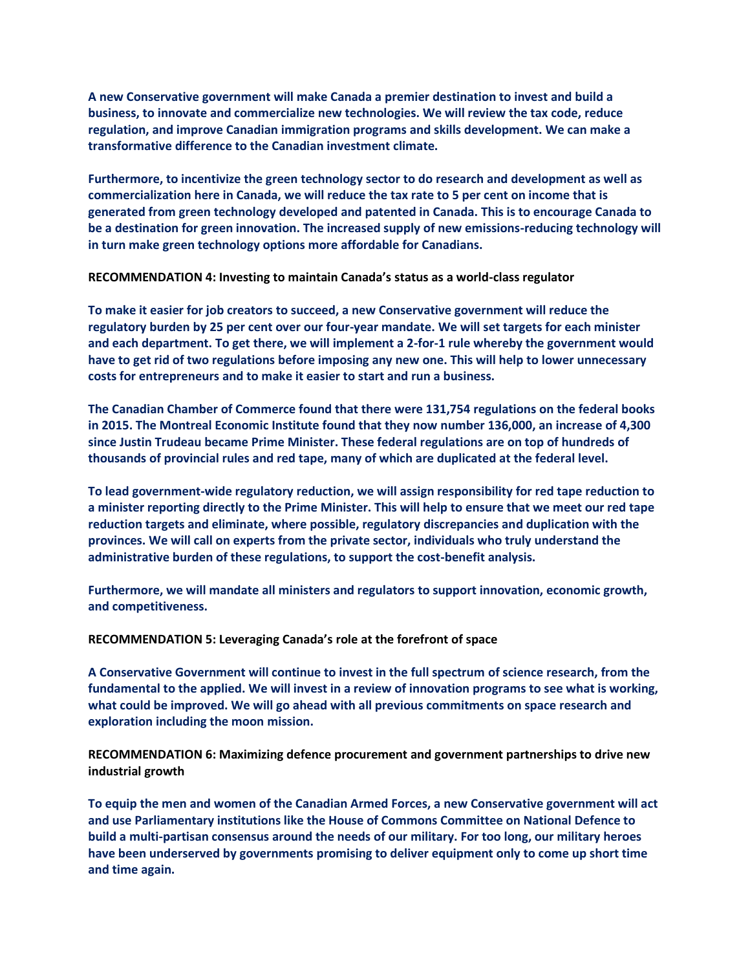**A new Conservative government will make Canada a premier destination to invest and build a business, to innovate and commercialize new technologies. We will review the tax code, reduce regulation, and improve Canadian immigration programs and skills development. We can make a transformative difference to the Canadian investment climate.**

**Furthermore, to incentivize the green technology sector to do research and development as well as commercialization here in Canada, we will reduce the tax rate to 5 per cent on income that is generated from green technology developed and patented in Canada. This is to encourage Canada to be a destination for green innovation. The increased supply of new emissions-reducing technology will in turn make green technology options more affordable for Canadians.**

**RECOMMENDATION 4: Investing to maintain Canada's status as a world-class regulator** 

**To make it easier for job creators to succeed, a new Conservative government will reduce the regulatory burden by 25 per cent over our four-year mandate. We will set targets for each minister and each department. To get there, we will implement a 2-for-1 rule whereby the government would have to get rid of two regulations before imposing any new one. This will help to lower unnecessary costs for entrepreneurs and to make it easier to start and run a business.** 

**The Canadian Chamber of Commerce found that there were 131,754 regulations on the federal books in 2015. The Montreal Economic Institute found that they now number 136,000, an increase of 4,300 since Justin Trudeau became Prime Minister. These federal regulations are on top of hundreds of thousands of provincial rules and red tape, many of which are duplicated at the federal level.** 

**To lead government-wide regulatory reduction, we will assign responsibility for red tape reduction to a minister reporting directly to the Prime Minister. This will help to ensure that we meet our red tape reduction targets and eliminate, where possible, regulatory discrepancies and duplication with the provinces. We will call on experts from the private sector, individuals who truly understand the administrative burden of these regulations, to support the cost-benefit analysis.** 

**Furthermore, we will mandate all ministers and regulators to support innovation, economic growth, and competitiveness.**

**RECOMMENDATION 5: Leveraging Canada's role at the forefront of space**

**A Conservative Government will continue to invest in the full spectrum of science research, from the fundamental to the applied. We will invest in a review of innovation programs to see what is working, what could be improved. We will go ahead with all previous commitments on space research and exploration including the moon mission.**

**RECOMMENDATION 6: Maximizing defence procurement and government partnerships to drive new industrial growth**

**To equip the men and women of the Canadian Armed Forces, a new Conservative government will act and use Parliamentary institutions like the House of Commons Committee on National Defence to build a multi-partisan consensus around the needs of our military. For too long, our military heroes have been underserved by governments promising to deliver equipment only to come up short time and time again.**